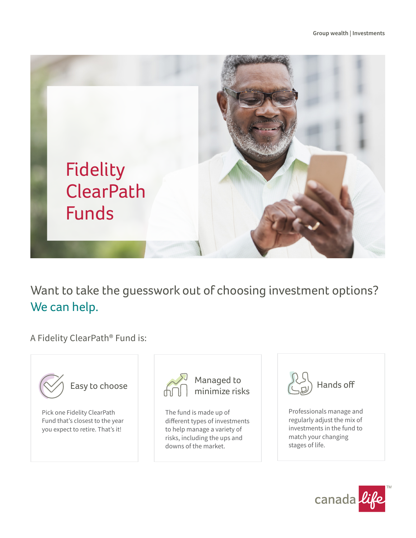

Want to take the guesswork out of choosing investment options? We can help.

A Fidelity ClearPath® Fund is:



Pick one Fidelity ClearPath Fund that's closest to the year you expect to retire. That's it!



The fund is made up of different types of investments to help manage a variety of risks, including the ups and downs of the market.



Professionals manage and regularly adjust the mix of investments in the fund to match your changing stages of life.

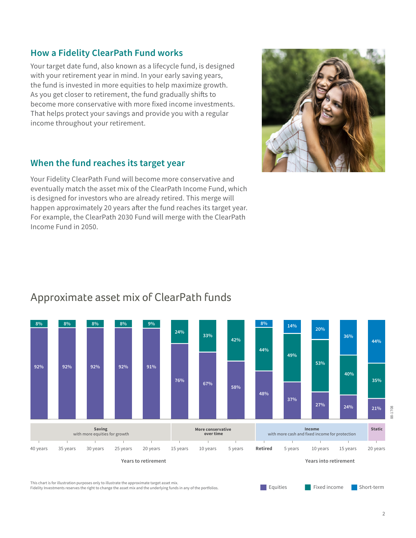## **How a Fidelity ClearPath Fund works**

Your target date fund, also known as a lifecycle fund, is designed with your retirement year in mind. In your early saving years, the fund is invested in more equities to help maximize growth. As you get closer to retirement, the fund gradually shifts to become more conservative with more fixed income investments. That helps protect your savings and provide you with a regular income throughout your retirement.

## **When the fund reaches its target year**

Your Fidelity ClearPath Fund will become more conservative and eventually match the asset mix of the ClearPath Income Fund, which is designed for investors who are already retired. This merge will happen approximately 20 years after the fund reaches its target year. For example, the ClearPath 2030 Fund will merge with the ClearPath Income Fund in 2050.



## Approximate asset mix of ClearPath funds



This chart is for illustration purposes only to illustrate the approximate target asset mix. Fidelity Investments reserves the right to change the asset mix and the underlying funds in any of the portfolios.

Short-term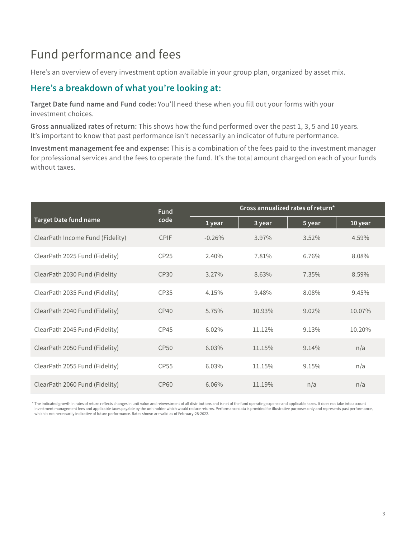# Fund performance and fees

Here's an overview of every investment option available in your group plan, organized by asset mix.

## **Here's a breakdown of what you're looking at:**

**Target Date fund name and Fund code:** You'll need these when you fill out your forms with your investment choices.

**Gross annualized rates of return:** This shows how the fund performed over the past 1, 3, 5 and 10 years. It's important to know that past performance isn't necessarily an indicator of future performance.

**Investment management fee and expense:** This is a combination of the fees paid to the investment manager for professional services and the fees to operate the fund. It's the total amount charged on each of your funds without taxes.

| <b>Target Date fund name</b>     | <b>Fund</b><br>code | Gross annualized rates of return* |        |          |         |
|----------------------------------|---------------------|-----------------------------------|--------|----------|---------|
|                                  |                     | 1 year                            | 3 year | 5 year   | 10 year |
| ClearPath Income Fund (Fidelity) | <b>CPIF</b>         | $-0.26%$                          | 3.97%  | 3.52%    | 4.59%   |
| ClearPath 2025 Fund (Fidelity)   | CP25                | 2.40%                             | 7.81%  | 6.76%    | 8.08%   |
| ClearPath 2030 Fund (Fidelity    | CP30                | $3.27\%$                          | 8.63%  | 7.35%    | 8.59%   |
| ClearPath 2035 Fund (Fidelity)   | CP35                | 4.15%                             | 9.48%  | 8.08%    | 9.45%   |
| ClearPath 2040 Fund (Fidelity)   | CP40                | 5.75%                             | 10.93% | $9.02\%$ | 10.07%  |
| ClearPath 2045 Fund (Fidelity)   | CP45                | 6.02%                             | 11.12% | 9.13%    | 10.20%  |
| ClearPath 2050 Fund (Fidelity)   | <b>CP50</b>         | 6.03%                             | 11.15% | 9.14%    | n/a     |
| ClearPath 2055 Fund (Fidelity)   | <b>CP55</b>         | 6.03%                             | 11.15% | 9.15%    | n/a     |
| ClearPath 2060 Fund (Fidelity)   | CP <sub>60</sub>    | 6.06%                             | 11.19% | n/a      | n/a     |

\* The indicated growth in rates of return reflects changes in unit value and reinvestment of all distributions and is net of the fund operating expense and applicable taxes. It does not take into account investment management fees and applicable taxes payable by the unit holder which would reduce returns. Performance data is provided for illustrative purposes only and represents past performance, which is not necessarily indicative of future performance. Rates shown are valid as of February-28-2022.